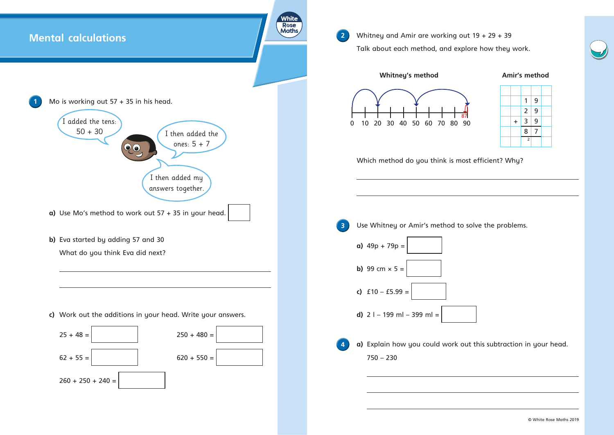







|           | 1              | 9 |  |
|-----------|----------------|---|--|
|           |                | 9 |  |
| $\ddot{}$ | $\frac{2}{3}$  | 9 |  |
|           | 8              | 7 |  |
|           | $\overline{2}$ |   |  |